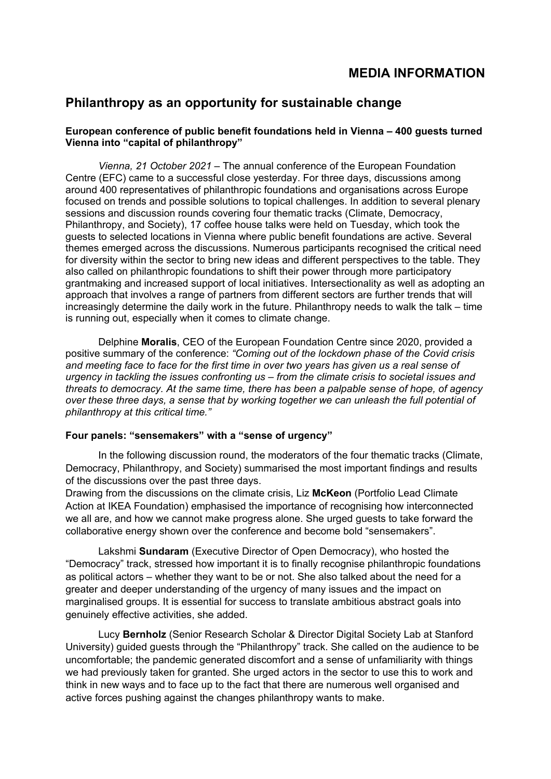# **MEDIA INFORMATION**

## **Philanthropy as an opportunity for sustainable change**

## **European conference of public benefit foundations held in Vienna – 400 guests turned Vienna into "capital of philanthropy"**

*Vienna, 21 October 2021 –* The annual conference of the European Foundation Centre (EFC) came to a successful close yesterday. For three days, discussions among around 400 representatives of philanthropic foundations and organisations across Europe focused on trends and possible solutions to topical challenges. In addition to several plenary sessions and discussion rounds covering four thematic tracks (Climate, Democracy, Philanthropy, and Society), 17 coffee house talks were held on Tuesday, which took the guests to selected locations in Vienna where public benefit foundations are active. Several themes emerged across the discussions. Numerous participants recognised the critical need for diversity within the sector to bring new ideas and different perspectives to the table. They also called on philanthropic foundations to shift their power through more participatory grantmaking and increased support of local initiatives. Intersectionality as well as adopting an approach that involves a range of partners from different sectors are further trends that will increasingly determine the daily work in the future. Philanthropy needs to walk the talk – time is running out, especially when it comes to climate change.

Delphine **Moralis**, CEO of the European Foundation Centre since 2020, provided a positive summary of the conference: *"Coming out of the lockdown phase of the Covid crisis and meeting face to face for the first time in over two years has given us a real sense of urgency in tackling the issues confronting us – from the climate crisis to societal issues and threats to democracy. At the same time, there has been a palpable sense of hope, of agency over these three days, a sense that by working together we can unleash the full potential of philanthropy at this critical time."*

### **Four panels: "sensemakers" with a "sense of urgency"**

In the following discussion round, the moderators of the four thematic tracks (Climate, Democracy, Philanthropy, and Society) summarised the most important findings and results of the discussions over the past three days.

Drawing from the discussions on the climate crisis, Liz **McKeon** (Portfolio Lead Climate Action at IKEA Foundation) emphasised the importance of recognising how interconnected we all are, and how we cannot make progress alone. She urged guests to take forward the collaborative energy shown over the conference and become bold "sensemakers".

Lakshmi **Sundaram** (Executive Director of Open Democracy), who hosted the "Democracy" track, stressed how important it is to finally recognise philanthropic foundations as political actors – whether they want to be or not. She also talked about the need for a greater and deeper understanding of the urgency of many issues and the impact on marginalised groups. It is essential for success to translate ambitious abstract goals into genuinely effective activities, she added.

Lucy **Bernholz** (Senior Research Scholar & Director Digital Society Lab at Stanford University) guided guests through the "Philanthropy" track. She called on the audience to be uncomfortable; the pandemic generated discomfort and a sense of unfamiliarity with things we had previously taken for granted. She urged actors in the sector to use this to work and think in new ways and to face up to the fact that there are numerous well organised and active forces pushing against the changes philanthropy wants to make.